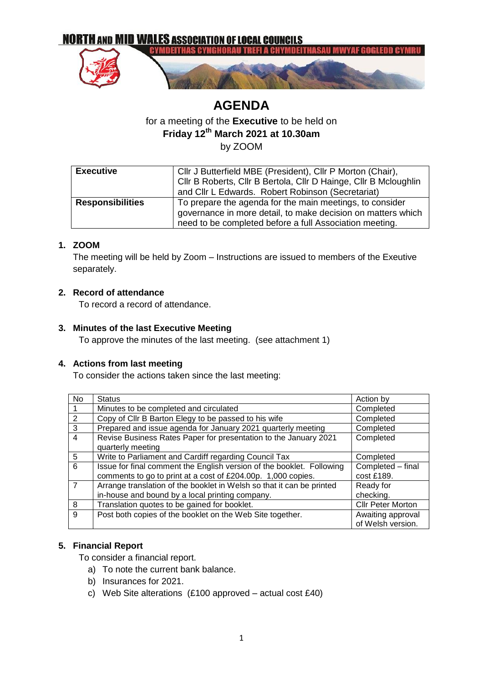

# **AGENDA**

for a meeting of the **Executive** to be held on

**Friday 12th March 2021 at 10.30am**

by ZOOM

| <b>Executive</b>        | Cllr J Butterfield MBE (President), Cllr P Morton (Chair),<br>Cllr B Roberts, Cllr B Bertola, Cllr D Hainge, Cllr B Mcloughlin<br>and Cllr L Edwards. Robert Robinson (Secretariat) |
|-------------------------|-------------------------------------------------------------------------------------------------------------------------------------------------------------------------------------|
| <b>Responsibilities</b> | To prepare the agenda for the main meetings, to consider<br>governance in more detail, to make decision on matters which<br>need to be completed before a full Association meeting. |

# **1. ZOOM**

The meeting will be held by Zoom – Instructions are issued to members of the Exeutive separately.

### **2. Record of attendance**

To record a record of attendance.

### **3. Minutes of the last Executive Meeting**

To approve the minutes of the last meeting. (see attachment 1)

### **4. Actions from last meeting**

To consider the actions taken since the last meeting:

| <b>No</b>      | <b>Status</b>                                                                                                                         | Action by                              |
|----------------|---------------------------------------------------------------------------------------------------------------------------------------|----------------------------------------|
| $\overline{1}$ | Minutes to be completed and circulated                                                                                                | Completed                              |
| 2              | Copy of Cllr B Barton Elegy to be passed to his wife                                                                                  | Completed                              |
| $\overline{3}$ | Prepared and issue agenda for January 2021 quarterly meeting                                                                          | Completed                              |
| $\overline{4}$ | Revise Business Rates Paper for presentation to the January 2021<br>quarterly meeting                                                 | Completed                              |
| 5              | Write to Parliament and Cardiff regarding Council Tax                                                                                 | Completed                              |
| 6              | Issue for final comment the English version of the booklet. Following<br>comments to go to print at a cost of £204.00p. 1,000 copies. | Completed - final<br>cost £189.        |
| $\overline{7}$ | Arrange translation of the booklet in Welsh so that it can be printed                                                                 | Ready for                              |
|                | in-house and bound by a local printing company.                                                                                       | checking.                              |
| $\overline{8}$ | Translation quotes to be gained for booklet.                                                                                          | <b>Cllr Peter Morton</b>               |
| $\overline{9}$ | Post both copies of the booklet on the Web Site together.                                                                             | Awaiting approval<br>of Welsh version. |

### **5. Financial Report**

To consider a financial report.

- a) To note the current bank balance.
- b) Insurances for 2021.
- c) Web Site alterations  $(E100$  approved actual cost £40)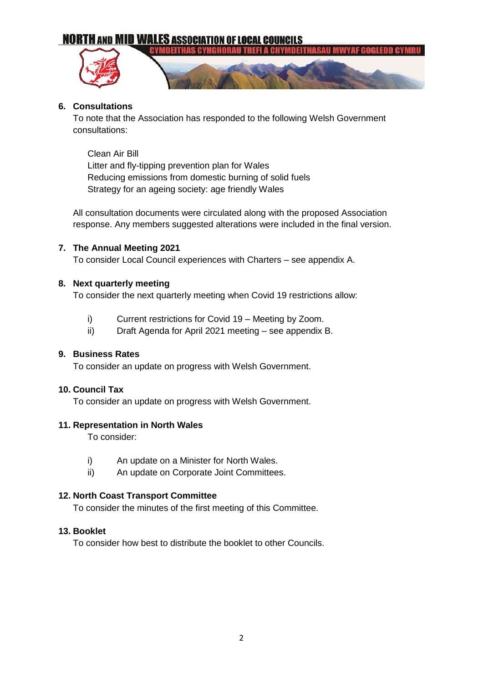# **NORTH AND MID WALES ASSOCIATION OF LOCAL COUNCILS**



### **6. Consultations**

To note that the Association has responded to the following Welsh Government consultations:

Clean Air Bill [Litter and fly-tipping prevention plan for Wales](https://gov.wales/litter-and-fly-tipping-prevention-plan-wales) [Reducing emissions from domestic burning of solid fuels](https://gov.wales/reducing-emissions-domestic-burning-solid-fuels)  [Strategy for an ageing society: age friendly Wales](https://gov.wales/strategy-ageing-society-age-friendly-wales)

All consultation documents were circulated along with the proposed Association response. Any members suggested alterations were included in the final version.

### **7. The Annual Meeting 2021**

To consider Local Council experiences with Charters – see appendix A.

### **8. Next quarterly meeting**

To consider the next quarterly meeting when Covid 19 restrictions allow:

- i) Current restrictions for Covid 19 Meeting by Zoom.
- ii) Draft Agenda for April 2021 meeting see appendix B.

### **9. Business Rates**

To consider an update on progress with Welsh Government.

### **10. Council Tax**

To consider an update on progress with Welsh Government.

### **11. Representation in North Wales**

To consider:

- i) An update on a Minister for North Wales.
- ii) An update on Corporate Joint Committees.

### **12. North Coast Transport Committee**

To consider the minutes of the first meeting of this Committee.

### **13. Booklet**

To consider how best to distribute the booklet to other Councils.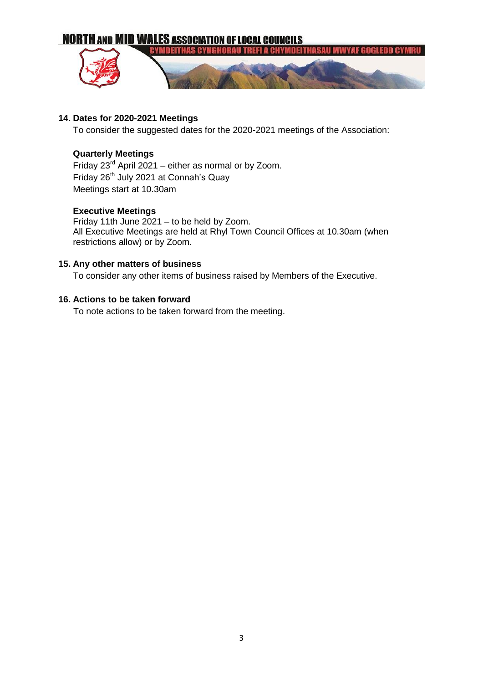

### **14. Dates for 2020-2021 Meetings**

To consider the suggested dates for the 2020-2021 meetings of the Association:

### **Quarterly Meetings**

Friday  $23<sup>rd</sup>$  April 2021 – either as normal or by Zoom. Friday 26<sup>th</sup> July 2021 at Connah's Quay Meetings start at 10.30am

### **Executive Meetings**

Friday 11th June 2021 – to be held by Zoom. All Executive Meetings are held at Rhyl Town Council Offices at 10.30am (when restrictions allow) or by Zoom.

### **15. Any other matters of business**

To consider any other items of business raised by Members of the Executive.

### **16. Actions to be taken forward**

To note actions to be taken forward from the meeting.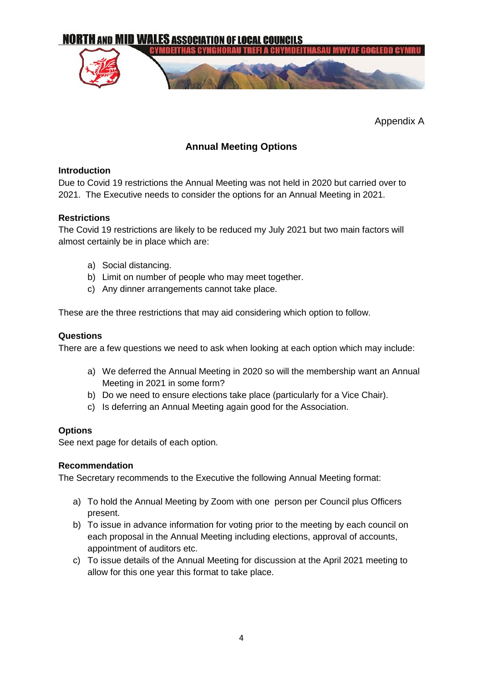

Appendix A

# **Annual Meeting Options**

### **Introduction**

Due to Covid 19 restrictions the Annual Meeting was not held in 2020 but carried over to 2021. The Executive needs to consider the options for an Annual Meeting in 2021.

### **Restrictions**

The Covid 19 restrictions are likely to be reduced my July 2021 but two main factors will almost certainly be in place which are:

- a) Social distancing.
- b) Limit on number of people who may meet together.
- c) Any dinner arrangements cannot take place.

These are the three restrictions that may aid considering which option to follow.

### **Questions**

There are a few questions we need to ask when looking at each option which may include:

- a) We deferred the Annual Meeting in 2020 so will the membership want an Annual Meeting in 2021 in some form?
- b) Do we need to ensure elections take place (particularly for a Vice Chair).
- c) Is deferring an Annual Meeting again good for the Association.

### **Options**

See next page for details of each option.

### **Recommendation**

The Secretary recommends to the Executive the following Annual Meeting format:

- a) To hold the Annual Meeting by Zoom with one person per Council plus Officers present.
- b) To issue in advance information for voting prior to the meeting by each council on each proposal in the Annual Meeting including elections, approval of accounts, appointment of auditors etc.
- c) To issue details of the Annual Meeting for discussion at the April 2021 meeting to allow for this one year this format to take place.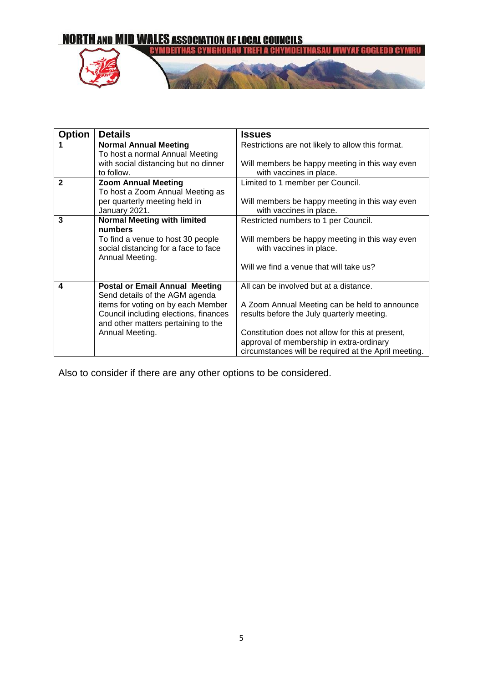

| <b>Option</b> | <b>Details</b>                                                                    | Issues                                               |  |
|---------------|-----------------------------------------------------------------------------------|------------------------------------------------------|--|
|               | <b>Normal Annual Meeting</b><br>Restrictions are not likely to allow this format. |                                                      |  |
|               | To host a normal Annual Meeting                                                   |                                                      |  |
|               | with social distancing but no dinner                                              | Will members be happy meeting in this way even       |  |
|               | to follow.                                                                        | with vaccines in place.                              |  |
| $\mathbf{2}$  | <b>Zoom Annual Meeting</b>                                                        | Limited to 1 member per Council.                     |  |
|               | To host a Zoom Annual Meeting as                                                  |                                                      |  |
|               | per quarterly meeting held in                                                     | Will members be happy meeting in this way even       |  |
|               | January 2021.                                                                     | with vaccines in place.                              |  |
| 3             | <b>Normal Meeting with limited</b>                                                | Restricted numbers to 1 per Council.                 |  |
|               | numbers                                                                           |                                                      |  |
|               | To find a venue to host 30 people                                                 | Will members be happy meeting in this way even       |  |
|               | social distancing for a face to face                                              | with vaccines in place.                              |  |
|               | Annual Meeting.                                                                   |                                                      |  |
|               |                                                                                   | Will we find a venue that will take us?              |  |
|               |                                                                                   |                                                      |  |
| 4             | All can be involved but at a distance.<br><b>Postal or Email Annual Meeting</b>   |                                                      |  |
|               | Send details of the AGM agenda                                                    |                                                      |  |
|               | items for voting on by each Member                                                | A Zoom Annual Meeting can be held to announce        |  |
|               | Council including elections, finances                                             | results before the July quarterly meeting.           |  |
|               | and other matters pertaining to the                                               |                                                      |  |
|               | Annual Meeting.                                                                   | Constitution does not allow for this at present,     |  |
|               |                                                                                   | approval of membership in extra-ordinary             |  |
|               |                                                                                   | circumstances will be required at the April meeting. |  |

Also to consider if there are any other options to be considered.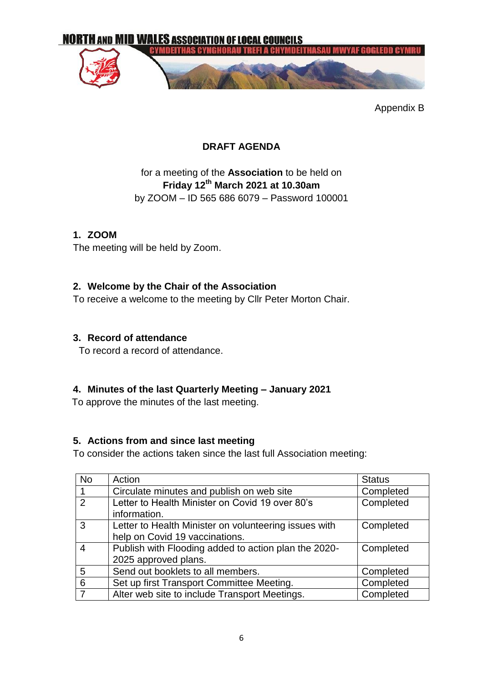

Appendix B

# **DRAFT AGENDA**

# for a meeting of the **Association** to be held on **Friday 12th March 2021 at 10.30am** by ZOOM – ID 565 686 6079 – Password 100001

# **1. ZOOM**

The meeting will be held by Zoom.

# **2. Welcome by the Chair of the Association**

To receive a welcome to the meeting by Cllr Peter Morton Chair.

# **3. Record of attendance**

To record a record of attendance.

# **4. Minutes of the last Quarterly Meeting – January 2021**

To approve the minutes of the last meeting.

# **5. Actions from and since last meeting**

To consider the actions taken since the last full Association meeting:

| <b>No</b>      | Action                                                | <b>Status</b> |
|----------------|-------------------------------------------------------|---------------|
|                | Circulate minutes and publish on web site             | Completed     |
| $\mathcal{P}$  | Letter to Health Minister on Covid 19 over 80's       | Completed     |
|                | information.                                          |               |
| 3              | Letter to Health Minister on volunteering issues with | Completed     |
|                | help on Covid 19 vaccinations.                        |               |
| $\overline{4}$ | Publish with Flooding added to action plan the 2020-  | Completed     |
|                | 2025 approved plans.                                  |               |
| 5              | Send out booklets to all members.                     | Completed     |
| 6              | Set up first Transport Committee Meeting.             | Completed     |
|                | Alter web site to include Transport Meetings.         | Completed     |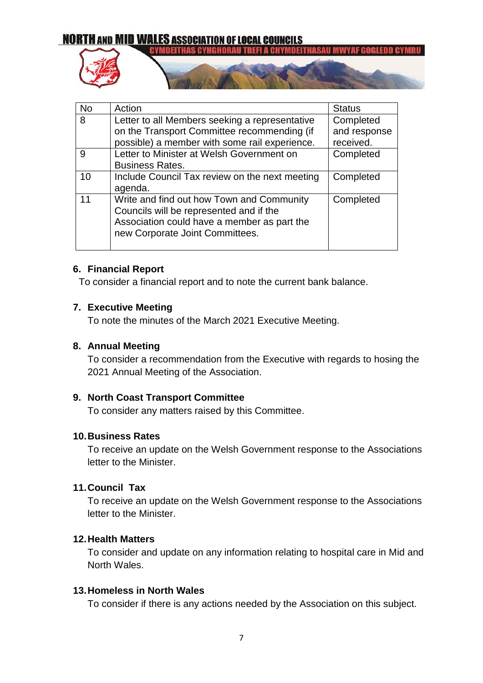### **NORTH AND MID WALES ASSOCIATION OF LOCAL COUNCILS YMDEITHAS CYNG**



| <b>No</b> | Action                                                                                                                                                                 | <b>Status</b> |
|-----------|------------------------------------------------------------------------------------------------------------------------------------------------------------------------|---------------|
| -8        | Letter to all Members seeking a representative                                                                                                                         | Completed     |
|           | on the Transport Committee recommending (if                                                                                                                            | and response  |
|           | possible) a member with some rail experience.                                                                                                                          | received.     |
| -9        | Letter to Minister at Welsh Government on                                                                                                                              | Completed     |
|           | <b>Business Rates.</b>                                                                                                                                                 |               |
| 10        | Include Council Tax review on the next meeting                                                                                                                         | Completed     |
|           | agenda.                                                                                                                                                                |               |
| 11        | Write and find out how Town and Community<br>Councils will be represented and if the<br>Association could have a member as part the<br>new Corporate Joint Committees. | Completed     |
|           |                                                                                                                                                                        |               |

### **6. Financial Report**

To consider a financial report and to note the current bank balance.

### **7. Executive Meeting**

To note the minutes of the March 2021 Executive Meeting.

### **8. Annual Meeting**

To consider a recommendation from the Executive with regards to hosing the 2021 Annual Meeting of the Association.

### **9. North Coast Transport Committee**

To consider any matters raised by this Committee.

### **10.Business Rates**

To receive an update on the Welsh Government response to the Associations letter to the Minister.

### **11.Council Tax**

To receive an update on the Welsh Government response to the Associations letter to the Minister.

### **12.Health Matters**

To consider and update on any information relating to hospital care in Mid and North Wales.

### **13.Homeless in North Wales**

To consider if there is any actions needed by the Association on this subject.